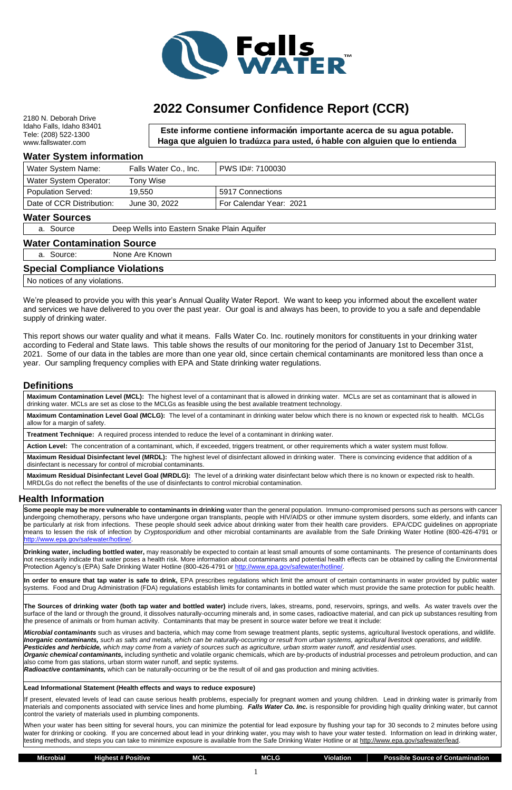2180 N. Deborah Drive Idaho Falls, Idaho 83401 Tele: (208) 522-1300 www.fallswater.com

### **Water System information**

| Water System Name:        | Falls Water Co., Inc. | PWS ID#: 7100030        |
|---------------------------|-----------------------|-------------------------|
| Water System Operator:    | Tony Wise             |                         |
| <b>Population Served:</b> | 19,550                | 5917 Connections        |
| Date of CCR Distribution: | June 30, 2022         | For Calendar Year: 2021 |

#### **Water Sources**

a. Source Deep Wells into Eastern Snake Plain Aquifer

#### **Water Contamination Source**

a. Source: None Are Known

#### **Special Compliance Violations**

No notices of any violations.

We're pleased to provide you with this year's Annual Quality Water Report. We want to keep you informed about the excellent water and services we have delivered to you over the past year. Our goal is and always has been, to provide to you a safe and dependable supply of drinking water.

This report shows our water quality and what it means. Falls Water Co. Inc. routinely monitors for constituents in your drinking water according to Federal and State laws. This table shows the results of our monitoring for the period of January 1st to December 31st, 2021. Some of our data in the tables are more than one year old, since certain chemical contaminants are monitored less than once a year. Our sampling frequency complies with EPA and State drinking water regulations.

### **Definitions**

**Maximum Contamination Level (MCL):** The highest level of a contaminant that is allowed in drinking water. MCLs are set as contaminant that is allowed in drinking water. MCLs are set as close to the MCLGs as feasible using the best available treatment technology.

**Drinking water, including bottled water,** may reasonably be expected to contain at least small amounts of some contaminants. The presence of contaminants does not necessarily indicate that water poses a health risk. More information about contaminants and potential health effects can be obtained by calling the Environmental Protection Agency's (EPA) Safe Drinking Water Hotline (800-426-4791 or [http://www.epa.gov/safewater/hotline/.](http://www.epa.gov/safewater/hotline/)

**Maximum Contamination Level Goal (MCLG):** The level of a contaminant in drinking water below which there is no known or expected risk to health. MCLGs allow for a margin of safety.

**Treatment Technique:** A required process intended to reduce the level of a contaminant in drinking water.

**Action Level:** The concentration of a contaminant, which, if exceeded, triggers treatment, or other requirements which a water system must follow.

**Maximum Residual Disinfectant level (MRDL):** The highest level of disinfectant allowed in drinking water. There is convincing evidence that addition of a disinfectant is necessary for control of microbial contaminants.

**Maximum Residual Disinfectant Level Goal (MRDLG):** The level of a drinking water disinfectant below which there is no known or expected risk to health. MRDLGs do not reflect the benefits of the use of disinfectants to control microbial contamination.

## **Health Information**

**Some people may be more vulnerable to contaminants in drinking** water than the general population. Immuno-compromised persons such as persons with cancer undergoing chemotherapy, persons who have undergone organ transplants, people with HIV/AIDS or other immune system disorders, some elderly, and infants can be particularly at risk from infections. These people should seek advice about drinking water from their health care providers. EPA/CDC guidelines on appropriate means to lessen the risk of infection by *Cryptosporidium* and other microbial contaminants are available from the Safe Drinking Water Hotline (800-426-4791 or [http://www.epa.gov/safewater/hotline/.](http://www.epa.gov/safewater/hotline/)

| <b>Microbial</b><br>. | <b>Positive</b><br>Highest #. | <b>MCL</b> | <b>IVICLG</b> | <b>Violation</b> | Contamination<br><b>Possible Source</b><br>ot Q |
|-----------------------|-------------------------------|------------|---------------|------------------|-------------------------------------------------|
|                       |                               |            |               |                  |                                                 |
|                       |                               |            |               |                  |                                                 |

**In order to ensure that tap water is safe to drink,** EPA prescribes regulations which limit the amount of certain contaminants in water provided by public water systems. Food and Drug Administration (FDA) regulations establish limits for contaminants in bottled water which must provide the same protection for public health.

**The Sources of drinking water (both tap water and bottled water)** include rivers, lakes, streams, pond, reservoirs, springs, and wells. As water travels over the surface of the land or through the ground, it dissolves naturally-occurring minerals and, in some cases, radioactive material, and can pick up substances resulting from the presence of animals or from human activity. Contaminants that may be present in source water before we treat it include:

*Microbial contaminants* such as viruses and bacteria, which may come from sewage treatment plants, septic systems, agricultural livestock operations, and wildlife. *Inorganic contaminants, such as salts and metals, which can be naturally-occurring or result from urban systems, agricultural livestock operations, and wildlife. Pesticides and herbicide, which may come from a variety of sources such as agriculture, urban storm water runoff, and residential uses. Organic chemical contaminants,* including synthetic and volatile organic chemicals, which are by-products of industrial processes and petroleum production, and can also come from gas stations, urban storm water runoff, and septic systems.

*Radioactive contaminants,* which can be naturally-occurring or be the result of oil and gas production and mining activities.

#### **Lead Informational Statement (Health effects and ways to reduce exposure)**

If present, elevated levels of lead can cause serious health problems, especially for pregnant women and young children. Lead in drinking water is primarily from materials and components associated with service lines and home plumbing. *Falls Water Co. Inc.* is responsible for providing high quality drinking water, but cannot control the variety of materials used in plumbing components.

When your water has been sitting for several hours, you can minimize the potential for lead exposure by flushing your tap for 30 seconds to 2 minutes before using water for drinking or cooking. If you are concerned about lead in your drinking water, you may wish to have your water tested. Information on lead in drinking water, testing methods, and steps you can take to minimize exposure is available from the Safe Drinking Water Hotline or at http://www.epa.gov/safewater/lead.



# **2022 Consumer Confidence Report (CCR)**

**Este informe contiene información importante acerca de su agua potable. Haga que alguien lo tradúzca para usted, ó hable con alguien que lo entienda** 

**bien.**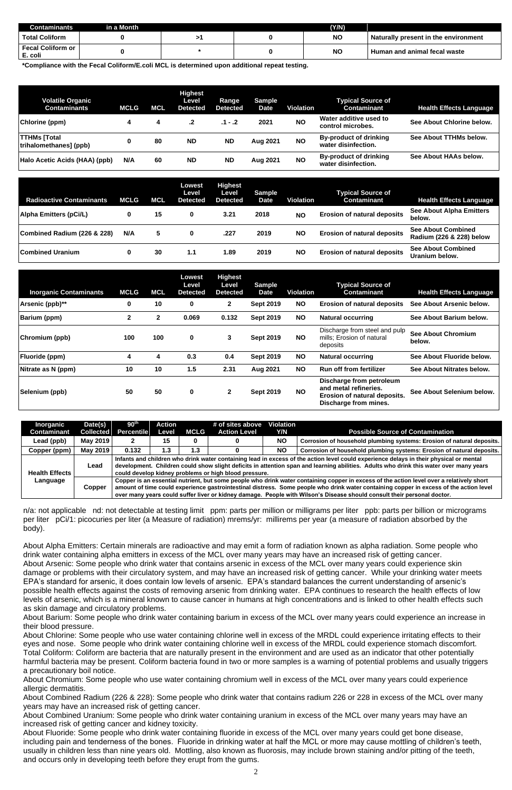| Contaminants                        | Lin a Month \ |  | (Y/N)     |                                      |
|-------------------------------------|---------------|--|-----------|--------------------------------------|
| <b>Total Coliform</b>               |               |  | <b>NO</b> | Naturally present in the environment |
| <b>Fecal Coliform or</b><br>E. coli |               |  | ΝO        | <b>Human and animal fecal waste</b>  |

**\*Compliance with the Fecal Coliform/E.coli MCL is determined upon additional repeat testing.**

| <b>Volatile Organic</b><br><b>Contaminants</b> | <b>MCLG</b> | MCL | <b>Highest</b><br>Level<br><b>Detected</b> | Range<br><b>Detected</b> | <b>Sample</b><br><b>Date</b> | <b>Violation</b> | <b>Typical Source of</b><br>Contaminant              | <b>Health Effects Language</b> |
|------------------------------------------------|-------------|-----|--------------------------------------------|--------------------------|------------------------------|------------------|------------------------------------------------------|--------------------------------|
| Chlorine (ppm)                                 |             | 4   |                                            | $.1 - .2$                | 2021                         | <b>NO</b>        | Water additive used to<br>control microbes.          | See About Chlorine below.      |
| <b>TTHMs [Total</b><br>trihalomethanes] (ppb)  | 0           | 80  | <b>ND</b>                                  | <b>ND</b>                | Aug 2021                     | <b>NO</b>        | <b>By-product of drinking</b><br>water disinfection. | See About TTHMs below.         |
| Halo Acetic Acids (HAA) (ppb)                  | N/A         | 60  | <b>ND</b>                                  | <b>ND</b>                | Aug 2021                     | <b>NO</b>        | <b>By-product of drinking</b><br>water disinfection. | See About HAAs below.          |

| <b>Radioactive Contaminants</b> | <b>MCLG</b> | <b>MCL</b> | Lowest<br>Level<br><b>Detected</b> | <b>Highest</b><br>Level<br><b>Detected</b> | <b>Sample</b><br>Date | Violation | <b>Typical Source of</b><br><b>Contaminant</b> | <b>Health Effects Language</b>                        |
|---------------------------------|-------------|------------|------------------------------------|--------------------------------------------|-----------------------|-----------|------------------------------------------------|-------------------------------------------------------|
| <b>Alpha Emitters (pCi/L)</b>   |             | 15         | 0                                  | 3.21                                       | 2018                  | <b>NO</b> | <b>Erosion of natural deposits</b>             | <b>See About Alpha Emitters</b><br>below.             |
| Combined Radium (226 & 228)     | N/A         | 5.         |                                    | .227                                       | 2019                  | <b>NO</b> | <b>Erosion of natural deposits</b>             | <b>See About Combined</b><br>Radium (226 & 228) below |
| <b>Combined Uranium</b>         |             | 30         | 1.1                                | 1.89                                       | 2019                  | <b>NO</b> | <b>Erosion of natural deposits</b>             | <b>See About Combined</b><br>Uranium below.           |

| <b>Inorganic Contaminants</b> | <b>MCLG</b>  | MCL          | Lowest<br>Level<br><b>Detected</b> | <b>Highest</b><br>Level<br><b>Detected</b> | <b>Sample</b><br><b>Date</b> | <b>Violation</b> | <b>Typical Source of</b><br><b>Contaminant</b>                                                             | <b>Health Effects Language</b>      |
|-------------------------------|--------------|--------------|------------------------------------|--------------------------------------------|------------------------------|------------------|------------------------------------------------------------------------------------------------------------|-------------------------------------|
| Arsenic (ppb)**               | 0            | 10           | 0                                  | $\mathbf{2}$                               | <b>Sept 2019</b>             | <b>NO</b>        | <b>Erosion of natural deposits</b>                                                                         | See About Arsenic below.            |
| <b>Barium (ppm)</b>           | $\mathbf{2}$ | $\mathbf{2}$ | 0.069                              | 0.132                                      | <b>Sept 2019</b>             | <b>NO</b>        | <b>Natural occurring</b>                                                                                   | See About Barium below.             |
| Chromium (ppb)                | 100          | 100          | 0                                  | 3                                          | <b>Sept 2019</b>             | <b>NO</b>        | Discharge from steel and pulp<br>mills; Erosion of natural<br>deposits                                     | <b>See About Chromium</b><br>below. |
| <b>Fluoride (ppm)</b>         | 4            | 4            | 0.3                                | 0.4                                        | <b>Sept 2019</b>             | <b>NO</b>        | <b>Natural occurring</b>                                                                                   | See About Fluoride below.           |
| Nitrate as N (ppm)            | 10           | 10           | 1.5                                | 2.31                                       | Aug 2021                     | <b>NO</b>        | <b>Run off from fertilizer</b>                                                                             | See About Nitrates below.           |
| Selenium (ppb)                | 50           | 50           | 0                                  | $\mathbf{2}$                               | <b>Sept 2019</b>             | <b>NO</b>        | Discharge from petroleum<br>and metal refineries.<br>Erosion of natural deposits.<br>Discharge from mines. | See About Selenium below.           |

n/a: not applicable nd: not detectable at testing limit ppm: parts per million or milligrams per liter ppb: parts per billion or micrograms per liter pCi/1: picocuries per liter (a Measure of radiation) mrems/yr: millirems per year (a measure of radiation absorbed by the body).

About Alpha Emitters: Certain minerals are radioactive and may emit a form of radiation known as alpha radiation. Some people who drink water containing alpha emitters in excess of the MCL over many years may have an increased risk of getting cancer. About Arsenic: Some people who drink water that contains arsenic in excess of the MCL over many years could experience skin damage or problems with their circulatory system, and may have an increased risk of getting cancer. While your drinking water meets EPA's standard for arsenic, it does contain low levels of arsenic. EPA's standard balances the current understanding of arsenic's possible health effects against the costs of removing arsenic from drinking water. EPA continues to research the health effects of low levels of arsenic, which is a mineral known to cause cancer in humans at high concentrations and is linked to other health effects such as skin damage and circulatory problems.

About Barium: Some people who drink water containing barium in excess of the MCL over many years could experience an increase in their blood pressure.

About Chlorine: Some people who use water containing chlorine well in excess of the MRDL could experience irritating effects to their eyes and nose. Some people who drink water containing chlorine well in excess of the MRDL could experience stomach discomfort. Total Coliform: Coliform are bacteria that are naturally present in the environment and are used as an indicator that other potentially harmful bacteria may be present. Coliform bacteria found in two or more samples is a warning of potential problems and usually triggers a precautionary boil notice.

About Chromium: Some people who use water containing chromium well in excess of the MCL over many years could experience allergic dermatitis.

About Combined Radium (226 & 228): Some people who drink water that contains radium 226 or 228 in excess of the MCL over many years may have an increased risk of getting cancer.

About Combined Uranium: Some people who drink water containing uranium in excess of the MCL over many years may have an increased risk of getting cancer and kidney toxicity.

About Fluoride: Some people who drink water containing fluoride in excess of the MCL over many years could get bone disease, including pain and tenderness of the bones. Fluoride in drinking water at half the MCL or more may cause mottling of children's teeth, usually in children less than nine years old. Mottling, also known as fluorosis, may include brown staining and/or pitting of the teeth, and occurs only in developing teeth before they erupt from the gums.

| <b>Inorganic</b><br><b>Contaminant</b> | Date(s)<br><b>Collected</b> | 90 <sup>th</sup><br><b>Percentile</b>                                                                                                                                                                                                                                                                                                     | Action<br>Level | MCLG | # of sites above<br><b>Action Level</b> | <b>Violation</b><br>Y/N | <b>Possible Source of Contamination</b>                                                                                                                                                                                                                                                                                                                                                                       |  |  |  |
|----------------------------------------|-----------------------------|-------------------------------------------------------------------------------------------------------------------------------------------------------------------------------------------------------------------------------------------------------------------------------------------------------------------------------------------|-----------------|------|-----------------------------------------|-------------------------|---------------------------------------------------------------------------------------------------------------------------------------------------------------------------------------------------------------------------------------------------------------------------------------------------------------------------------------------------------------------------------------------------------------|--|--|--|
| Lead (ppb)                             | May 2019                    |                                                                                                                                                                                                                                                                                                                                           | 15              |      |                                         | <b>NO</b>               | Corrosion of household plumbing systems: Erosion of natural deposits.                                                                                                                                                                                                                                                                                                                                         |  |  |  |
| Copper (ppm)                           | May 2019                    | 0.132                                                                                                                                                                                                                                                                                                                                     | 1.3             | 1.3  |                                         | <b>NO</b>               | Corrosion of household plumbing systems: Erosion of natural deposits.                                                                                                                                                                                                                                                                                                                                         |  |  |  |
| <b>Health Effects</b>                  | Lead                        | Infants and children who drink water containing lead in excess of the action level could experience delays in their physical or mental<br>development. Children could show slight deficits in attention span and learning abilities. Adults who drink this water over many years<br>could develop kidney problems or high blood pressure. |                 |      |                                         |                         |                                                                                                                                                                                                                                                                                                                                                                                                               |  |  |  |
| Language                               | Copper                      |                                                                                                                                                                                                                                                                                                                                           |                 |      |                                         |                         | Copper is an essential nutrient, but some people who drink water containing copper in excess of the action level over a relatively short<br>amount of time could experience gastrointestinal distress. Some people who drink water containing copper in excess of the action level<br>over many years could suffer liver or kidney damage. People with Wilson's Disease should consult their personal doctor. |  |  |  |